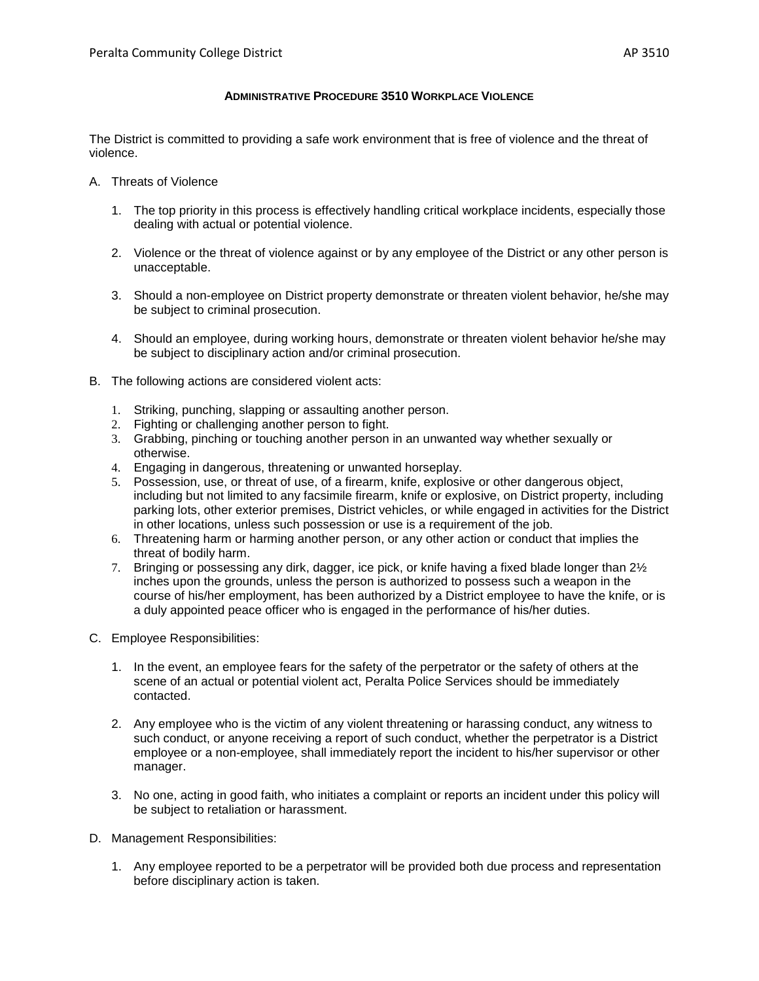## **ADMINISTRATIVE PROCEDURE 3510 WORKPLACE VIOLENCE**

The District is committed to providing a safe work environment that is free of violence and the threat of violence.

- A. Threats of Violence
	- 1. The top priority in this process is effectively handling critical workplace incidents, especially those dealing with actual or potential violence.
	- 2. Violence or the threat of violence against or by any employee of the District or any other person is unacceptable.
	- 3. Should a non-employee on District property demonstrate or threaten violent behavior, he/she may be subject to criminal prosecution.
	- 4. Should an employee, during working hours, demonstrate or threaten violent behavior he/she may be subject to disciplinary action and/or criminal prosecution.
- B. The following actions are considered violent acts:
	- 1. Striking, punching, slapping or assaulting another person.
	- 2. Fighting or challenging another person to fight.
	- 3. Grabbing, pinching or touching another person in an unwanted way whether sexually or otherwise.
	- 4. Engaging in dangerous, threatening or unwanted horseplay.
	- 5. Possession, use, or threat of use, of a firearm, knife, explosive or other dangerous object, including but not limited to any facsimile firearm, knife or explosive, on District property, including parking lots, other exterior premises, District vehicles, or while engaged in activities for the District in other locations, unless such possession or use is a requirement of the job.
	- 6. Threatening harm or harming another person, or any other action or conduct that implies the threat of bodily harm.
	- 7. Bringing or possessing any dirk, dagger, ice pick, or knife having a fixed blade longer than  $2\frac{1}{2}$ inches upon the grounds, unless the person is authorized to possess such a weapon in the course of his/her employment, has been authorized by a District employee to have the knife, or is a duly appointed peace officer who is engaged in the performance of his/her duties.
- C. Employee Responsibilities:
	- 1. In the event, an employee fears for the safety of the perpetrator or the safety of others at the scene of an actual or potential violent act, Peralta Police Services should be immediately contacted.
	- 2. Any employee who is the victim of any violent threatening or harassing conduct, any witness to such conduct, or anyone receiving a report of such conduct, whether the perpetrator is a District employee or a non-employee, shall immediately report the incident to his/her supervisor or other manager.
	- 3. No one, acting in good faith, who initiates a complaint or reports an incident under this policy will be subject to retaliation or harassment.
- D. Management Responsibilities:
	- 1. Any employee reported to be a perpetrator will be provided both due process and representation before disciplinary action is taken.